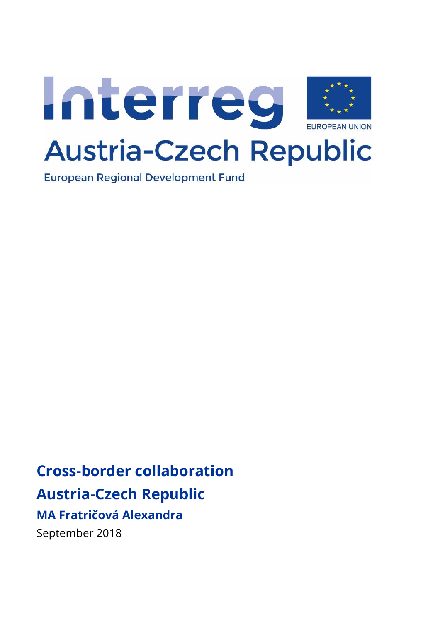

**European Regional Development Fund** 

**Cross-border collaboration Austria-Czech Republic**

**MA Fratričová Alexandra**

September 2018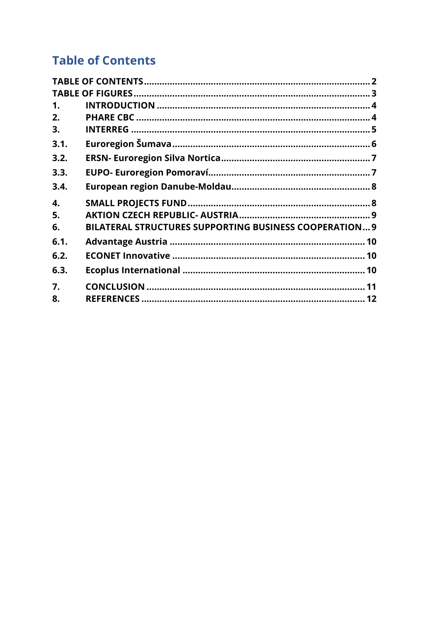# <span id="page-1-0"></span>**Table of Contents**

| $\mathbf{1}$ . |                                                               |  |
|----------------|---------------------------------------------------------------|--|
| 2.             |                                                               |  |
| 3.             |                                                               |  |
| 3.1.           |                                                               |  |
| 3.2.           |                                                               |  |
| 3.3.           |                                                               |  |
| 3.4.           |                                                               |  |
| 4.             |                                                               |  |
| 5.             |                                                               |  |
| 6.             | <b>BILATERAL STRUCTURES SUPPORTING BUSINESS COOPERATION 9</b> |  |
| 6.1.           |                                                               |  |
| 6.2.           |                                                               |  |
| 6.3.           |                                                               |  |
| 7.             |                                                               |  |
| 8.             |                                                               |  |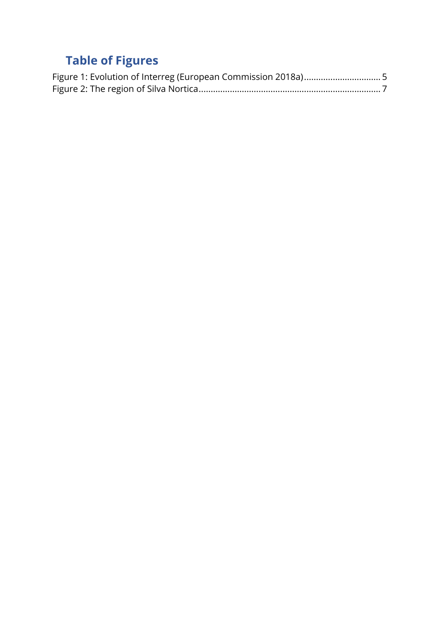# <span id="page-2-0"></span>**Table of Figures**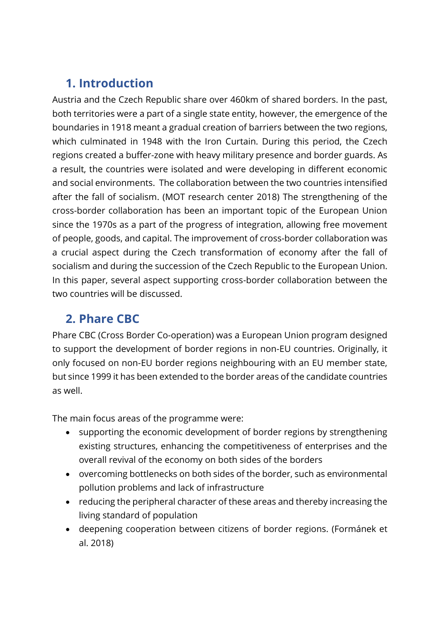# <span id="page-3-0"></span>**1. Introduction**

Austria and the Czech Republic share over 460km of shared borders. In the past, both territories were a part of a single state entity, however, the emergence of the boundaries in 1918 meant a gradual creation of barriers between the two regions, which culminated in 1948 with the Iron Curtain. During this period, the Czech regions created a buffer-zone with heavy military presence and border guards. As a result, the countries were isolated and were developing in different economic and social environments. The collaboration between the two countries intensified after the fall of socialism. (MOT research center 2018) The strengthening of the cross-border collaboration has been an important topic of the European Union since the 1970s as a part of the progress of integration, allowing free movement of people, goods, and capital. The improvement of cross-border collaboration was a crucial aspect during the Czech transformation of economy after the fall of socialism and during the succession of the Czech Republic to the European Union. In this paper, several aspect supporting cross-border collaboration between the two countries will be discussed.

### <span id="page-3-1"></span>**2. Phare CBC**

Phare CBC (Cross Border Co-operation) was a European Union program designed to support the development of border regions in non-EU countries. Originally, it only focused on non-EU border regions neighbouring with an EU member state, but since 1999 it has been extended to the border areas of the candidate countries as well.

The main focus areas of the programme were:

- supporting the economic development of border regions by strengthening existing structures, enhancing the competitiveness of enterprises and the overall revival of the economy on both sides of the borders
- overcoming bottlenecks on both sides of the border, such as environmental pollution problems and lack of infrastructure
- reducing the peripheral character of these areas and thereby increasing the living standard of population
- deepening cooperation between citizens of border regions. (Formánek et al. 2018)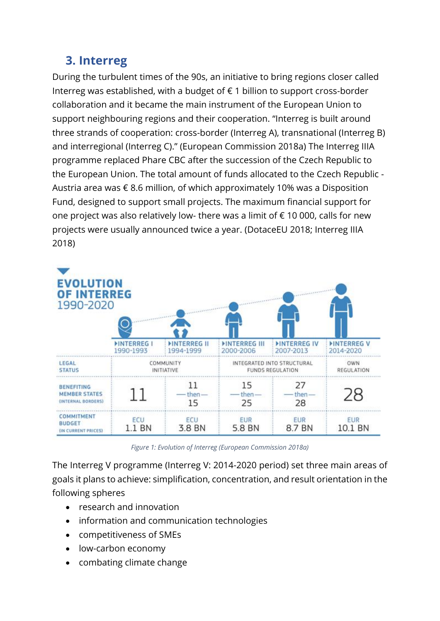# <span id="page-4-0"></span>**3. Interreg**

During the turbulent times of the 90s, an initiative to bring regions closer called Interreg was established, with a budget of € 1 billion to support cross-border collaboration and it became the main instrument of the European Union to support neighbouring regions and their cooperation. "Interreg is built around three strands of cooperation: cross-border (Interreg A), transnational (Interreg B) and interregional (Interreg C)." (European Commission 2018a) The Interreg IIIA programme replaced Phare CBC after the succession of the Czech Republic to the European Union. The total amount of funds allocated to the Czech Republic - Austria area was € 8.6 million, of which approximately 10% was a Disposition Fund, designed to support small projects. The maximum financial support for one project was also relatively low- there was a limit of  $\epsilon$  10 000, calls for new projects were usually announced twice a year. (DotaceEU 2018; Interreg IIIA 2018)



*Figure 1: Evolution of Interreg (European Commission 2018a)*

<span id="page-4-1"></span>The Interreg V programme (Interreg V: 2014-2020 period) set three main areas of goals it plans to achieve: simplification, concentration, and result orientation in the following spheres

- research and innovation
- information and communication technologies
- competitiveness of SMEs
- low-carbon economy
- combating climate change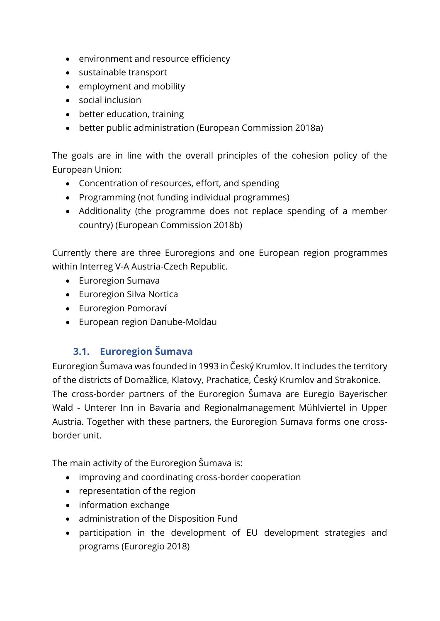- environment and resource efficiency
- sustainable transport
- employment and mobility
- social inclusion
- better education, training
- better public administration (European Commission 2018a)

The goals are in line with the overall principles of the cohesion policy of the European Union:

- Concentration of resources, effort, and spending
- Programming (not funding individual programmes)
- Additionality (the programme does not replace spending of a member country) (European Commission 2018b)

Currently there are three Euroregions and one European region programmes within Interreg V-A Austria-Czech Republic.

- Euroregion Sumava
- Euroregion Silva Nortica
- Euroregion Pomoraví
- European region Danube-Moldau

#### **3.1. Euroregion Šumava**

<span id="page-5-0"></span>Euroregion Šumava was founded in 1993 in Český Krumlov. It includes the territory of the districts of Domažlice, Klatovy, Prachatice, Český Krumlov and Strakonice. The cross-border partners of the Euroregion Šumava are Euregio Bayerischer Wald - Unterer Inn in Bavaria and Regionalmanagement Mühlviertel in Upper Austria. Together with these partners, the Euroregion Sumava forms one crossborder unit.

The main activity of the Euroregion Šumava is:

- improving and coordinating cross-border cooperation
- representation of the region
- information exchange
- administration of the Disposition Fund
- participation in the development of EU development strategies and programs (Euroregio 2018)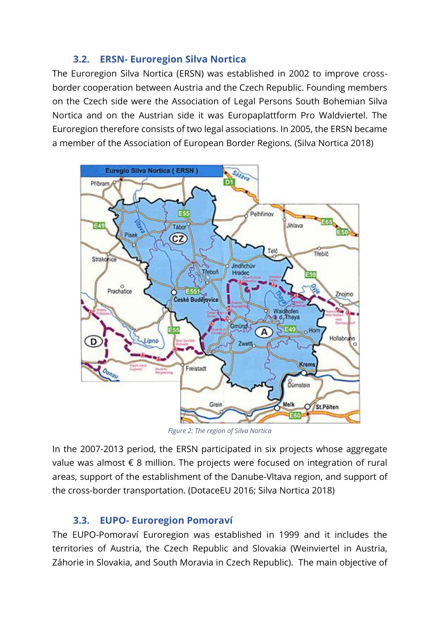#### **3.2. ERSN- Euroregion Silva Nortica**

<span id="page-6-0"></span>The Euroregion Silva Nortica (ERSN) was established in 2002 to improve crossborder cooperation between Austria and the Czech Republic. Founding members on the Czech side were the Association of Legal Persons South Bohemian Silva Nortica and on the Austrian side it was Europaplattform Pro Waldviertel. The Euroregion therefore consists of two legal associations. In 2005, the ERSN became a member of the Association of European Border Regions. (Silva Nortica 2018)



*Figure 2: The region of Silva Nortica*

<span id="page-6-2"></span>In the 2007-2013 period, the ERSN participated in six projects whose aggregate value was almost  $\epsilon$  8 million. The projects were focused on integration of rural areas, support of the establishment of the Danube-Vltava region, and support of the cross-border transportation. (DotaceEU 2016; Silva Nortica 2018)

#### **3.3. EUPO- Euroregion Pomoraví**

<span id="page-6-1"></span>The EUPO-Pomoraví Euroregion was established in 1999 and it includes the territories of Austria, the Czech Republic and Slovakia (Weinviertel in Austria, Záhorie in Slovakia, and South Moravia in Czech Republic). The main objective of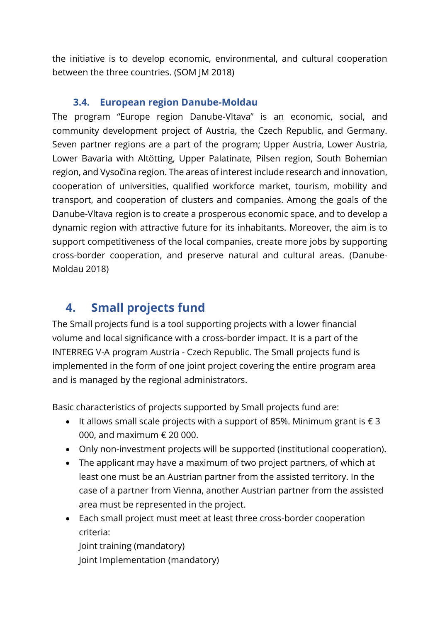the initiative is to develop economic, environmental, and cultural cooperation between the three countries. (SOM JM 2018)

#### **3.4. European region Danube-Moldau**

<span id="page-7-0"></span>The program "Europe region Danube-Vltava" is an economic, social, and community development project of Austria, the Czech Republic, and Germany. Seven partner regions are a part of the program; Upper Austria, Lower Austria, Lower Bavaria with Altötting, Upper Palatinate, Pilsen region, South Bohemian region, and Vysočina region. The areas of interest include research and innovation, cooperation of universities, qualified workforce market, tourism, mobility and transport, and cooperation of clusters and companies. Among the goals of the Danube-Vltava region is to create a prosperous economic space, and to develop a dynamic region with attractive future for its inhabitants. Moreover, the aim is to support competitiveness of the local companies, create more jobs by supporting cross-border cooperation, and preserve natural and cultural areas. (Danube-Moldau 2018)

## <span id="page-7-1"></span>**4. Small projects fund**

The Small projects fund is a tool supporting projects with a lower financial volume and local significance with a cross-border impact. It is a part of the INTERREG V-A program Austria - Czech Republic. The Small projects fund is implemented in the form of one joint project covering the entire program area and is managed by the regional administrators.

Basic characteristics of projects supported by Small projects fund are:

- It allows small scale projects with a support of 85%. Minimum grant is  $\epsilon$  3 000, and maximum € 20 000.
- Only non-investment projects will be supported (institutional cooperation).
- The applicant may have a maximum of two project partners, of which at least one must be an Austrian partner from the assisted territory. In the case of a partner from Vienna, another Austrian partner from the assisted area must be represented in the project.
- Each small project must meet at least three cross-border cooperation criteria:
	- Joint training (mandatory) Joint Implementation (mandatory)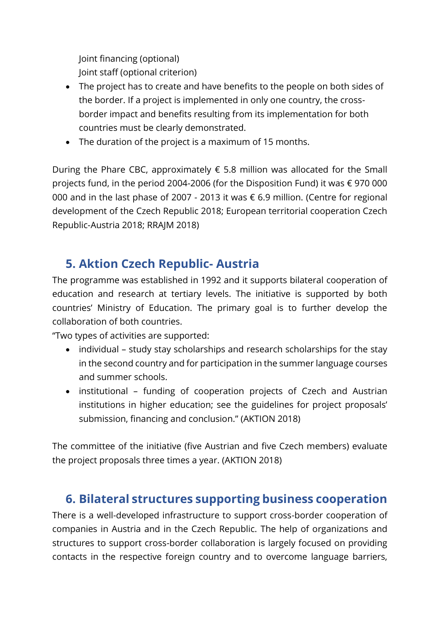Joint financing (optional) Joint staff (optional criterion)

- The project has to create and have benefits to the people on both sides of the border. If a project is implemented in only one country, the crossborder impact and benefits resulting from its implementation for both countries must be clearly demonstrated.
- The duration of the project is a maximum of 15 months.

During the Phare CBC, approximately  $\epsilon$  5.8 million was allocated for the Small projects fund, in the period 2004-2006 (for the Disposition Fund) it was € 970 000 000 and in the last phase of 2007 - 2013 it was € 6.9 million. (Centre for regional development of the Czech Republic 2018; European territorial cooperation Czech Republic-Austria 2018; RRAJM 2018)

# <span id="page-8-0"></span>**5. Aktion Czech Republic- Austria**

The programme was established in 1992 and it supports bilateral cooperation of education and research at tertiary levels. The initiative is supported by both countries' Ministry of Education. The primary goal is to further develop the collaboration of both countries.

"Two types of activities are supported:

- individual study stay scholarships and research scholarships for the stay in the second country and for participation in the summer language courses and summer schools.
- institutional funding of cooperation projects of Czech and Austrian institutions in higher education; see the guidelines for project proposals' submission, financing and conclusion." (AKTION 2018)

The committee of the initiative (five Austrian and five Czech members) evaluate the project proposals three times a year. (AKTION 2018)

### <span id="page-8-1"></span>**6. Bilateral structures supporting business cooperation**

There is a well-developed infrastructure to support cross-border cooperation of companies in Austria and in the Czech Republic. The help of organizations and structures to support cross-border collaboration is largely focused on providing contacts in the respective foreign country and to overcome language barriers,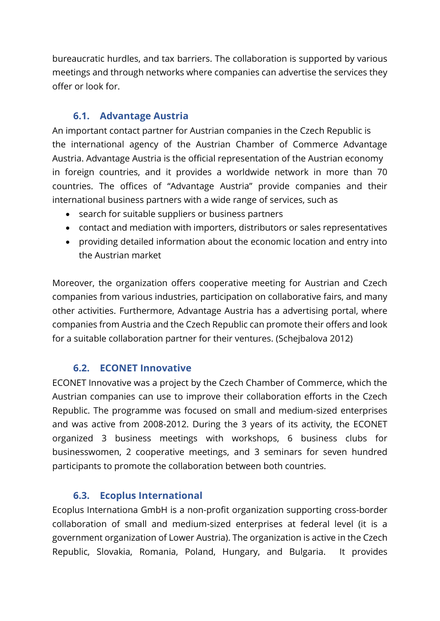bureaucratic hurdles, and tax barriers. The collaboration is supported by various meetings and through networks where companies can advertise the services they offer or look for.

#### **6.1. Advantage Austria**

<span id="page-9-0"></span>An important contact partner for Austrian companies in the Czech Republic is the international agency of the Austrian Chamber of Commerce Advantage Austria. Advantage Austria is the official representation of the Austrian economy in foreign countries, and it provides a worldwide network in more than 70 countries. The offices of "Advantage Austria" provide companies and their international business partners with a wide range of services, such as

- search for suitable suppliers or business partners
- contact and mediation with importers, distributors or sales representatives
- providing detailed information about the economic location and entry into the Austrian market

Moreover, the organization offers cooperative meeting for Austrian and Czech companies from various industries, participation on collaborative fairs, and many other activities. Furthermore, Advantage Austria has a advertising portal, where companies from Austria and the Czech Republic can promote their offers and look for a suitable collaboration partner for their ventures. (Schejbalova 2012)

#### **6.2. ECONET Innovative**

<span id="page-9-1"></span>ECONET Innovative was a project by the Czech Chamber of Commerce, which the Austrian companies can use to improve their collaboration efforts in the Czech Republic. The programme was focused on small and medium-sized enterprises and was active from 2008-2012. During the 3 years of its activity, the ECONET organized 3 business meetings with workshops, 6 business clubs for businesswomen, 2 cooperative meetings, and 3 seminars for seven hundred participants to promote the collaboration between both countries.

#### **6.3. Ecoplus International**

<span id="page-9-2"></span>Ecoplus Internationa GmbH is a non-profit organization supporting cross-border collaboration of small and medium-sized enterprises at federal level (it is a government organization of Lower Austria). The organization is active in the Czech Republic, Slovakia, Romania, Poland, Hungary, and Bulgaria. It provides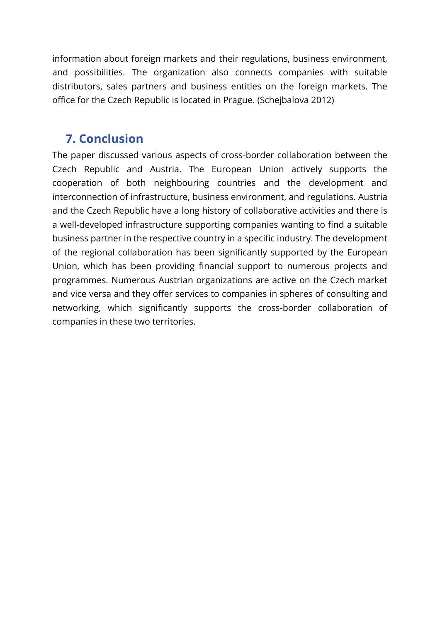information about foreign markets and their regulations, business environment, and possibilities. The organization also connects companies with suitable distributors, sales partners and business entities on the foreign markets. The office for the Czech Republic is located in Prague. (Schejbalova 2012)

#### <span id="page-10-0"></span>**7. Conclusion**

The paper discussed various aspects of cross-border collaboration between the Czech Republic and Austria. The European Union actively supports the cooperation of both neighbouring countries and the development and interconnection of infrastructure, business environment, and regulations. Austria and the Czech Republic have a long history of collaborative activities and there is a well-developed infrastructure supporting companies wanting to find a suitable business partner in the respective country in a specific industry. The development of the regional collaboration has been significantly supported by the European Union, which has been providing financial support to numerous projects and programmes. Numerous Austrian organizations are active on the Czech market and vice versa and they offer services to companies in spheres of consulting and networking, which significantly supports the cross-border collaboration of companies in these two territories.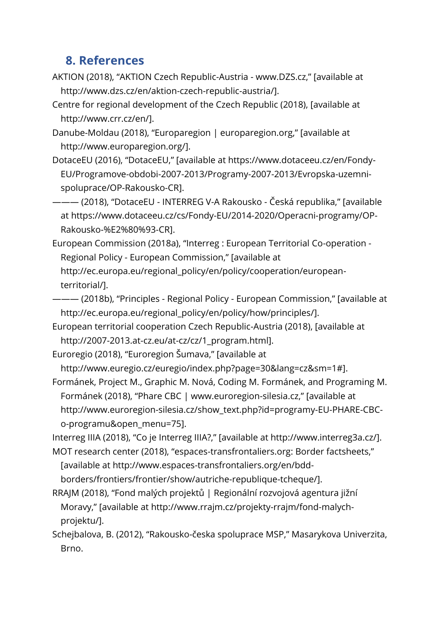### <span id="page-11-0"></span>**8. References**

- AKTION (2018), "AKTION Czech Republic-Austria www.DZS.cz," [available at http://www.dzs.cz/en/aktion-czech-republic-austria/].
- Centre for regional development of the Czech Republic (2018), [available at http://www.crr.cz/en/].
- Danube-Moldau (2018), "Europaregion | europaregion.org," [available at http://www.europaregion.org/].
- DotaceEU (2016), "DotaceEU," [available at https://www.dotaceeu.cz/en/Fondy-EU/Programove-obdobi-2007-2013/Programy-2007-2013/Evropska-uzemnispoluprace/OP-Rakousko-CR].
- ——— (2018), "DotaceEU INTERREG V-A Rakousko Česká republika," [available at https://www.dotaceeu.cz/cs/Fondy-EU/2014-2020/Operacni-programy/OP-Rakousko-%E2%80%93-CR].
- European Commission (2018a), "Interreg : European Territorial Co-operation Regional Policy - European Commission," [available at http://ec.europa.eu/regional\_policy/en/policy/cooperation/europeanterritorial/].
- ——— (2018b), "Principles Regional Policy European Commission," [available at http://ec.europa.eu/regional\_policy/en/policy/how/principles/].
- European territorial cooperation Czech Republic-Austria (2018), [available at http://2007-2013.at-cz.eu/at-cz/cz/1\_program.html].
- Euroregio (2018), "Euroregion Šumava," [available at
- http://www.euregio.cz/euregio/index.php?page=30&lang=cz&sm=1#].
- Formánek, Project M., Graphic M. Nová, Coding M. Formánek, and Programing M. Formánek (2018), "Phare CBC | www.euroregion-silesia.cz," [available at http://www.euroregion-silesia.cz/show\_text.php?id=programy-EU-PHARE-CBCo-programu&open\_menu=75].
- Interreg IIIA (2018), "Co je Interreg IIIA?," [available at http://www.interreg3a.cz/].
- MOT research center (2018), "espaces-transfrontaliers.org: Border factsheets," [available at http://www.espaces-transfrontaliers.org/en/bdd
	- borders/frontiers/frontier/show/autriche-republique-tcheque/].
- RRAJM (2018), "Fond malých projektů | Regionální rozvojová agentura jižní Moravy," [available at http://www.rrajm.cz/projekty-rrajm/fond-malychprojektu/].
- Schejbalova, B. (2012), "Rakousko-česka spoluprace MSP," Masarykova Univerzita, Brno.